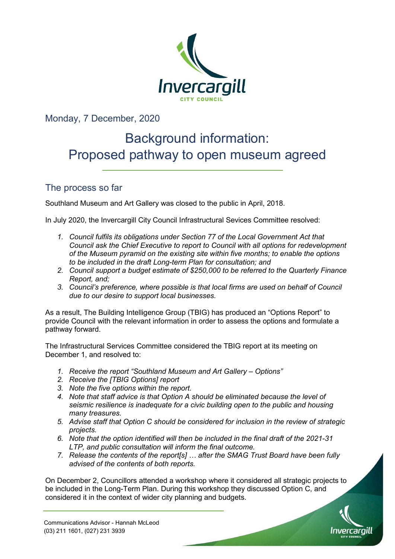

Monday, 7 December, 2020

# Background information: Proposed pathway to open museum agreed

## The process so far

Southland Museum and Art Gallery was closed to the public in April, 2018.

In July 2020, the Invercargill City Council Infrastructural Sevices Committee resolved:

- *1. Council fulfils its obligations under Section 77 of the Local Government Act that Council ask the Chief Executive to report to Council with all options for redevelopment of the Museum pyramid on the existing site within five months; to enable the options to be included in the draft Long-term Plan for consultation; and*
- *2. Council support a budget estimate of \$250,000 to be referred to the Quarterly Finance Report, and;*
- *3. Council's preference, where possible is that local firms are used on behalf of Council due to our desire to support local businesses.*

As a result, The Building Intelligence Group (TBIG) has produced an "Options Report" to provide Council with the relevant information in order to assess the options and formulate a pathway forward.

The Infrastructural Services Committee considered the TBIG report at its meeting on December 1, and resolved to:

- *1. Receive the report "Southland Museum and Art Gallery Options"*
- *2. Receive the [TBIG Options] report*
- *3. Note the five options within the report.*
- *4. Note that staff advice is that Option A should be eliminated because the level of seismic resilience is inadequate for a civic building open to the public and housing many treasures.*
- *5. Advise staff that Option C should be considered for inclusion in the review of strategic projects.*
- *6. Note that the option identified will then be included in the final draft of the 2021-31 LTP, and public consultation will inform the final outcome.*
- *7. Release the contents of the report[s] … after the SMAG Trust Board have been fully advised of the contents of both reports.*

On December 2, Councillors attended a workshop where it considered all strategic projects to be included in the Long-Term Plan. During this workshop they discussed Option C, and considered it in the context of wider city planning and budgets.